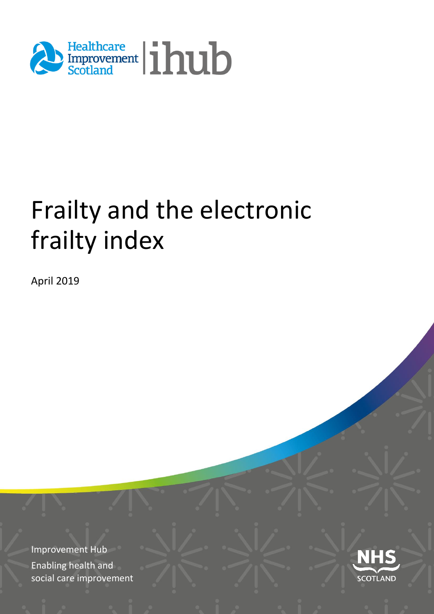

# Frailty and the electronic frailty index

April 2019

Improvement Hub Enabling health and social care improvement

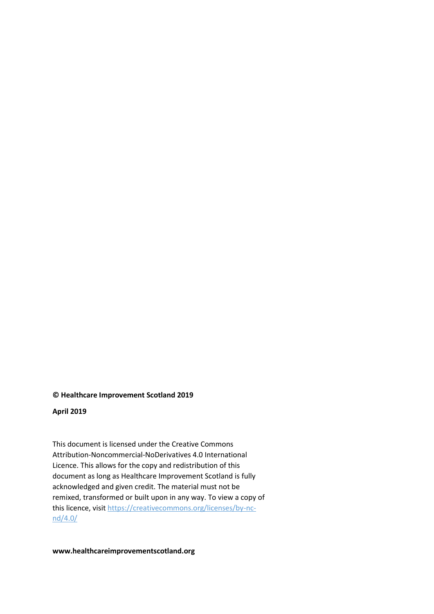#### **© Healthcare Improvement Scotland 2019**

#### **April 2019**

This document is licensed under the Creative Commons Attribution-Noncommercial-NoDerivatives 4.0 International Licence. This allows for the copy and redistribution of this document as long as Healthcare Improvement Scotland is fully acknowledged and given credit. The material must not be remixed, transformed or built upon in any way. To view a copy of this licence, visi[t https://creativecommons.org/licenses/by-nc](https://creativecommons.org/licenses/by-nc-nd/4.0/)[nd/4.0/](https://creativecommons.org/licenses/by-nc-nd/4.0/)

**www.healthcareimprovementscotland.org**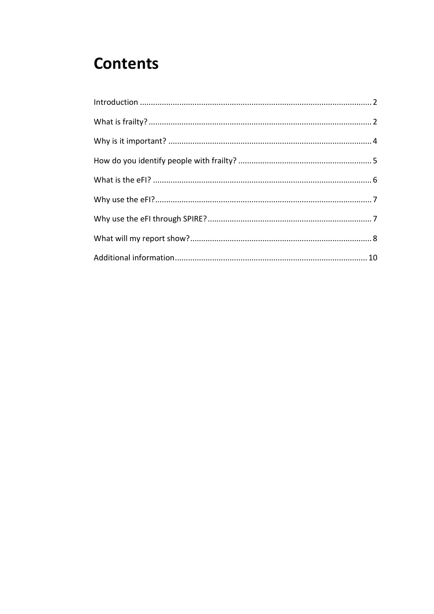#### **Contents**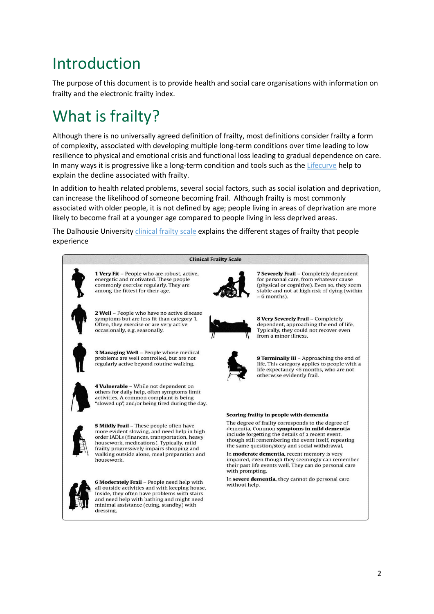#### <span id="page-3-0"></span>Introduction

The purpose of this document is to provide health and social care organisations with information on frailty and the electronic frailty index.

# <span id="page-3-1"></span>What is frailty?

Although there is no universally agreed definition of frailty, most definitions consider frailty a form of complexity, associated with developing multiple long-term conditions over time leading to low resilience to physical and emotional crisis and functional loss leading to gradual dependence on care. In many ways it is progressive like a long-term condition and tools such as the [Lifecurve](https://adlsmartcare.com/Home/LifeCurve) help to explain the decline associated with frailty.

In addition to health related problems, several social factors, such as social isolation and deprivation, can increase the likelihood of someone becoming frail. Although frailty is most commonly associated with older people, it is not defined by age; people living in areas of deprivation are more likely to become frail at a younger age compared to people living in less deprived areas.

The Dalhousie Universit[y clinical frailty scale](https://www.dal.ca/sites/gmr/our-tools/clinical-frailty-scale.html) explains the different stages of frailty that people experience



Inside, they often have problems with stairs and need help with bathing and might need minimal assistance (cuing, standby) with

dressing

7 Severely Frail - Completely dependent for personal care, from whatever cause (physical or cognitive). Even so, they seem stable and not at high risk of dying (within

8 Very Severely Frail - Completely dependent, approaching the end of life. Typically, they could not recover even

9 Terminally III - Approaching the end of life. This category applies to people with a life expectancy <6 months, who are not

dementia. Common symptoms in mild dementia include forgetting the details of a recent event, though still remembering the event itself, repeating the same question/story and social withdrawal.

impaired, even though they seemingly can remember<br>their past life events well. They can do personal care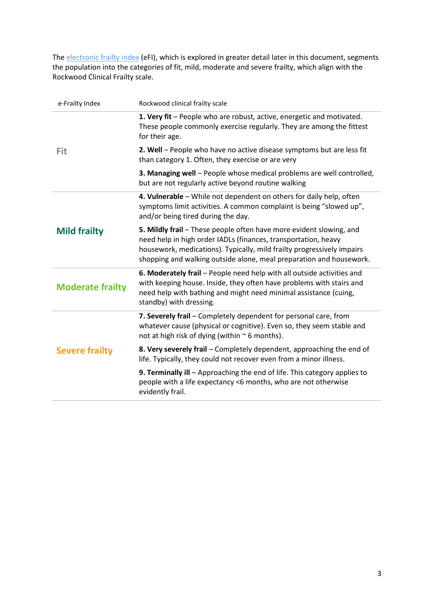The [electronic frailty index](http://clahrc-yh.nihr.ac.uk/our-themes/primary-care-based-management-of-frailty-in-older-people/projects/development-of-an-electronic-frailty-index-efi) (eFI), which is explored in greater detail later in this document, segments the population into the categories of fit, mild, moderate and severe frailty, which align with the Rockwood Clinical Frailty scale.

| e-Frailty Index         | Rockwood clinical frailty scale                                                                                                                                                                                                                                                        |
|-------------------------|----------------------------------------------------------------------------------------------------------------------------------------------------------------------------------------------------------------------------------------------------------------------------------------|
|                         | 1. Very fit - People who are robust, active, energetic and motivated.<br>These people commonly exercise regularly. They are among the fittest<br>for their age.                                                                                                                        |
| Fit                     | 2. Well - People who have no active disease symptoms but are less fit<br>than category 1. Often, they exercise or are very                                                                                                                                                             |
|                         | 3. Managing well - People whose medical problems are well controlled,<br>but are not regularly active beyond routine walking                                                                                                                                                           |
|                         | 4. Vulnerable - While not dependent on others for daily help, often<br>symptoms limit activities. A common complaint is being "slowed up",<br>and/or being tired during the day.                                                                                                       |
| <b>Mild frailty</b>     | 5. Mildly frail - These people often have more evident slowing, and<br>need help in high order IADLs (finances, transportation, heavy<br>housework, medications). Typically, mild frailty progressively impairs<br>shopping and walking outside alone, meal preparation and housework. |
| <b>Moderate frailty</b> | 6. Moderately frail - People need help with all outside activities and<br>with keeping house. Inside, they often have problems with stairs and<br>need help with bathing and might need minimal assistance (cuing,<br>standby) with dressing.                                          |
|                         | 7. Severely frail - Completely dependent for personal care, from<br>whatever cause (physical or cognitive). Even so, they seem stable and<br>not at high risk of dying (within $\sim$ 6 months).                                                                                       |
| <b>Severe frailty</b>   | 8. Very severely frail – Completely dependent, approaching the end of<br>life. Typically, they could not recover even from a minor illness.                                                                                                                                            |
|                         | 9. Terminally ill - Approaching the end of life. This category applies to<br>people with a life expectancy <6 months, who are not otherwise<br>evidently frail.                                                                                                                        |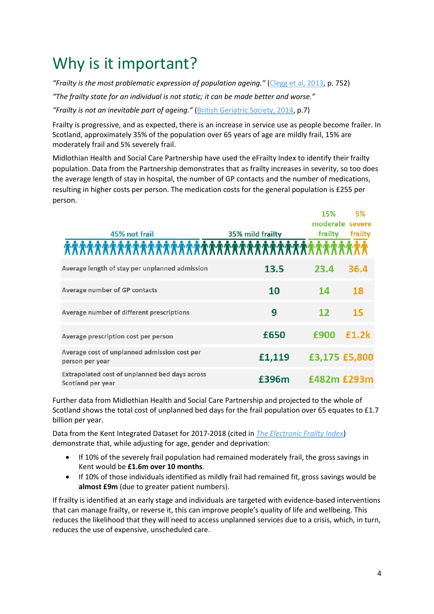### <span id="page-5-0"></span>Why is it important?

*"Frailty is the most problematic expression of population ageing."* [\(Clegg et al, 2013,](https://www.thelancet.com/pdfs/journals/lancet/PIIS0140-6736(12)62167-9.pdf) p. 752)

*"The frailty state for an individual is not static; it can be made better and worse."* 

*"Frailty is not an inevitable part of ageing."* [\(British Geriatric Society, 2014,](https://www.bgs.org.uk/sites/default/files/content/resources/files/2018-05-23/fff_full.pdf) p.7)

Frailty is progressive, and as expected, there is an increase in service use as people become frailer. In Scotland, approximately 35% of the population over 65 years of age are mildly frail, 15% are moderately frail and 5% severely frail.

Midlothian Health and Social Care Partnership have used the eFrailty Index to identify their frailty population. Data from the Partnership demonstrates that as frailty increases in severity, so too does the average length of stay in hospital, the number of GP contacts and the number of medications, resulting in higher costs per person. The medication costs for the general population is £255 per person.

|                                                                     |                  | 15%         | 5%              |
|---------------------------------------------------------------------|------------------|-------------|-----------------|
|                                                                     |                  |             | moderate severe |
| 45% not frail                                                       | 35% mild frailty | frailty     | frailty         |
| ***********************************                                 |                  |             |                 |
| Average length of stay per unplanned admission                      | 13.5             | 23.4        | 36.4            |
| Average number of GP contacts                                       | 10               | 14          | 18              |
| Average number of different prescriptions                           | 9                | 12          | 15              |
| Average prescription cost per person                                | £650             | £900        | £1.2k           |
| Average cost of unplanned admission cost per<br>person per year     | £1,119           |             | £3,175 £5,800   |
| Extrapolated cost of unplanned bed days across<br>Scotland per year | £396m            | £482m £293m |                 |

Further data from Midlothian Health and Social Care Partnership and projected to the whole of Scotland shows the total cost of unplanned bed days for the frail population over 65 equates to £1.7 billion per year.

Data from the Kent Integrated Dataset for 2017-2018 (cited in *[The Electronic Frailty Index](http://tvscn.nhs.uk/wp-content/uploads/2018/03/7.-Martin-Vernon.pdf)*) demonstrate that, while adjusting for age, gender and deprivation:

- If 10% of the severely frail population had remained moderately frail, the gross savings in Kent would be **£1.6m over 10 months**.
- If 10% of those individuals identified as mildly frail had remained fit, gross savings would be **almost £9m** (due to greater patient numbers).

If frailty is identified at an early stage and individuals are targeted with evidence-based interventions that can manage frailty, or reverse it, this can improve people's quality of life and wellbeing. This reduces the likelihood that they will need to access unplanned services due to a crisis, which, in turn, reduces the use of expensive, unscheduled care.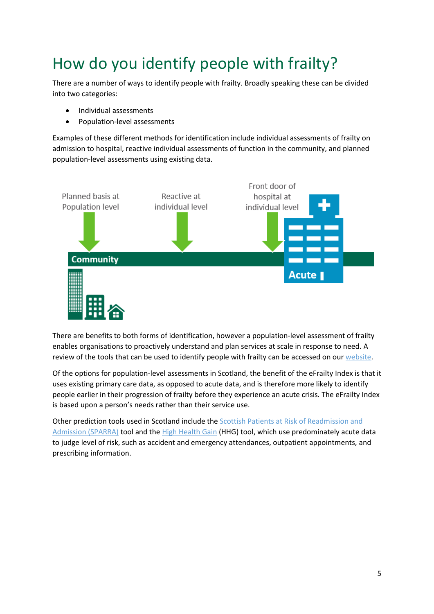# <span id="page-6-0"></span>How do you identify people with frailty?

There are a number of ways to identify people with frailty. Broadly speaking these can be divided into two categories:

- Individual assessments
- Population-level assessments

Examples of these different methods for identification include individual assessments of frailty on admission to hospital, reactive individual assessments of function in the community, and planned population-level assessments using existing data.



There are benefits to both forms of identification, however a population-level assessment of frailty enables organisations to proactively understand and plan services at scale in response to need. A review of the tools that can be used to identify people with frailty can be accessed on our [website.](https://ihub.scot/media/1742/frailty-screening-and-assessment-tools-comparator.pdf)

Of the options for population-level assessments in Scotland, the benefit of the eFrailty Index is that it uses existing primary care data, as opposed to acute data, and is therefore more likely to identify people earlier in their progression of frailty before they experience an acute crisis. The eFrailty Index is based upon a person's needs rather than their service use.

Other prediction tools used in Scotland include th[e Scottish Patients at Risk of Readmission and](http://www.isdscotland.org/Health-Topics/Health-and-Social-Community-Care/SPARRA/)  [Admission \(SPARRA\)](http://www.isdscotland.org/Health-Topics/Health-and-Social-Community-Care/SPARRA/) tool and the [High Health Gain](https://www.isdscotland.org/Health-Topics/Health-and-Social-Community-Care/High-Health-Gain/) (HHG) tool, which use predominately acute data to judge level of risk, such as accident and emergency attendances, outpatient appointments, and prescribing information.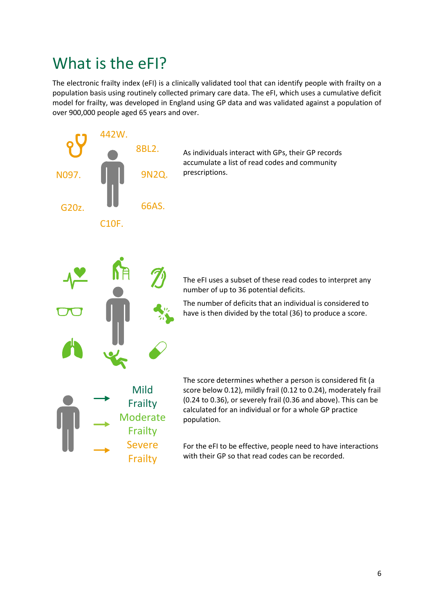#### <span id="page-7-0"></span>What is the eFI?

The electronic frailty index (eFI) is a clinically validated tool that can identify people with frailty on a population basis using routinely collected primary care data. The eFI, which uses a cumulative deficit model for frailty, was developed in England using GP data and was validated against a population of over 900,000 people aged 65 years and over.

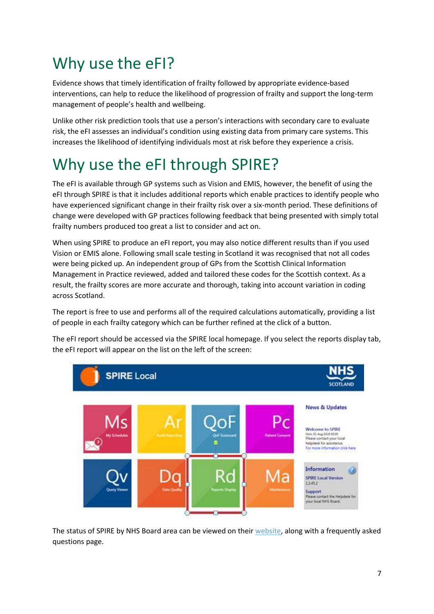# <span id="page-8-0"></span>Why use the eFI?

Evidence shows that timely identification of frailty followed by appropriate evidence-based interventions, can help to reduce the likelihood of progression of frailty and support the long-term management of people's health and wellbeing.

Unlike other risk prediction tools that use a person's interactions with secondary care to evaluate risk, the eFI assesses an individual's condition using existing data from primary care systems. This increases the likelihood of identifying individuals most at risk before they experience a crisis.

# <span id="page-8-1"></span>Why use the eFI through SPIRE?

The eFI is available through GP systems such as Vision and EMIS, however, the benefit of using the eFI through SPIRE is that it includes additional reports which enable practices to identify people who have experienced significant change in their frailty risk over a six-month period. These definitions of change were developed with GP practices following feedback that being presented with simply total frailty numbers produced too great a list to consider and act on.

When using SPIRE to produce an eFI report, you may also notice different results than if you used Vision or EMIS alone. Following small scale testing in Scotland it was recognised that not all codes were being picked up. An independent group of GPs from the Scottish Clinical Information Management in Practice reviewed, added and tailored these codes for the Scottish context. As a result, the frailty scores are more accurate and thorough, taking into account variation in coding across Scotland.

The report is free to use and performs all of the required calculations automatically, providing a list of people in each frailty category which can be further refined at the click of a button.

The eFI report should be accessed via the SPIRE local homepage. If you select the reports display tab, the eFI report will appear on the list on the left of the screen:



The status of SPIRE by NHS Board area can be viewed on their [website,](http://spire.scot/professional/) along with a frequently asked questions page.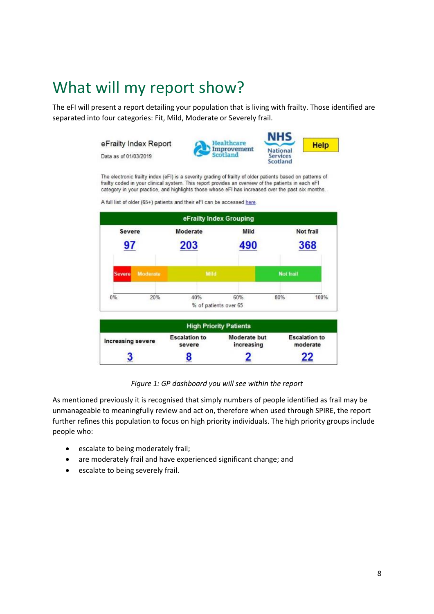#### <span id="page-9-0"></span>What will my report show?

The eFI will present a report detailing your population that is living with frailty. Those identified are separated into four categories: Fit, Mild, Moderate or Severely frail.

> NHS eFrailty Index Report Healthcare **Help** Improvement **National** Data as of 01/03/2019 Scotland **Services** Scotland

The electronic frailty index (eFI) is a severity grading of frailty of older patients based on patterns of frailty coded in your clinical system. This report provides an overview of the patients in each eFI category in your practice, and highlights those whose eFI has increased over the past six months.



A full list of older (65+) patients and their eFI can be accessed here

*Figure 1: GP dashboard you will see within the report*

As mentioned previously it is recognised that simply numbers of people identified as frail may be unmanageable to meaningfully review and act on, therefore when used through SPIRE, the report further refines this population to focus on high priority individuals. The high priority groups include people who:

- escalate to being moderately frail;
- are moderately frail and have experienced significant change; and
- escalate to being severely frail.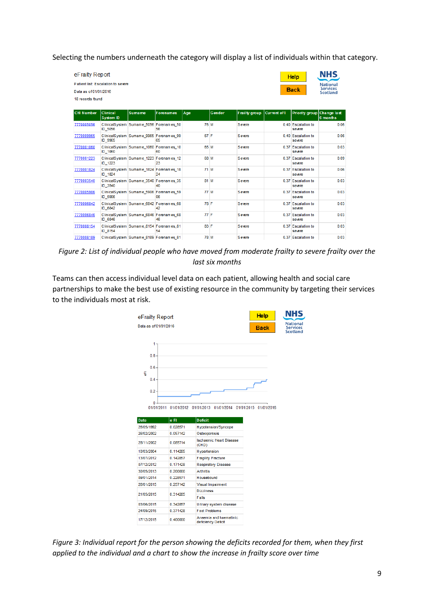Selecting the numbers underneath the category will display a list of individuals within that category.

|                   | eFrailty Report<br><b>Help</b><br>Patient list: Escalation to severe<br><b>Back</b><br>Data as of 01/01/2016<br>18 records found |                                           |           |      |        |               |                    | NHS<br><b>National</b><br><b>Services</b><br><b>Scotland</b> |          |
|-------------------|----------------------------------------------------------------------------------------------------------------------------------|-------------------------------------------|-----------|------|--------|---------------|--------------------|--------------------------------------------------------------|----------|
| <b>CHI Number</b> | <b>Clinical</b><br><b>System ID</b>                                                                                              | <b>Sumame</b>                             | Forenames | Age  | Gender | Frailty group | <b>Current eFI</b> | Priority group Change last                                   | 6 months |
| 7770005056        | ID 5056                                                                                                                          | ClinicalSystem Sumame 5056 Forenames 50   | 56        | 76 M |        | Severe        |                    | 0.40 Escalation to<br>severe                                 | 0.06     |
| 7770009965        | ID 9965                                                                                                                          | ClinicalSystem Sumame 9965 Forenames 99   | 65        | 67 F |        | Severe        |                    | 0.40 Escalation to<br>severe                                 | 0.06     |
| 7770001060        | ID 1060                                                                                                                          | ClinicalSystem Sumame 1060 Forenames 10   | 60        | 65 M |        | Severe        |                    | 0.37 Escalation to<br>severe                                 | 0.03     |
| 7770001223        | ID 1223                                                                                                                          | ClinicalSystem Sumame 1223 Forenames 12   | 23        | 68 M |        | Severe        |                    | 0.37 Escalation to<br>severe                                 | 0.09     |
| 7770001824        | ID 1824                                                                                                                          | ClinicalSystem Sumame 1824 Forenames 18   | 24        | 71 M |        | Severe        |                    | 0.37 Escalation to<br>severe                                 | 0.06     |
| 7770003540        | ID 3540                                                                                                                          | ClinicalSystem Sumame 3540 Forenames 35   | 40        | 81 M |        | Severe        |                    | 0.37 Escalation to<br>severe                                 | 0.03     |
| 7770005906        | ID 5906                                                                                                                          | ClinicalSystem Sumame 5906 Forenames 59   | 06        | 77M  |        | Severe        |                    | 0.37 Escalation to<br>severe                                 | 0.03     |
| 7770006842        | ID 6842                                                                                                                          | ClinicalSystem Sumame 6842 Forenames 68   | 42        | 78 F |        | Severe        |                    | 0.37 Escalation to<br>severe                                 | 0.03     |
| 7770006846        | ID 6846                                                                                                                          | ClinicalSystem Sumame 6846 Forenames 68   | 46        | 77 F |        | Severe        |                    | 0.37 Escalation to<br>severe                                 | 0.03     |
| 7770008154        | ID 8154                                                                                                                          | ClinicalSystem Sumame 8154 Forenames 81   | 54        | 83 F |        | Severe        |                    | 0.37 Escalation to<br>severe                                 | 0.03     |
| 7770008189        |                                                                                                                                  | ClinicalSystem Sumame_8189   Forenames_81 |           | 78 M |        | Severe        |                    | 0.37 Escalation to                                           | 0.03     |

*Figure 2: List of individual people who have moved from moderate frailty to severe frailty over the last six months*

Teams can then access individual level data on each patient, allowing health and social care partnerships to make the best use of existing resource in the community by targeting their services to the individuals most at risk.



*Figure 3: Individual report for the person showing the deficits recorded for them, when they first applied to the individual and a chart to show the increase in frailty score over time*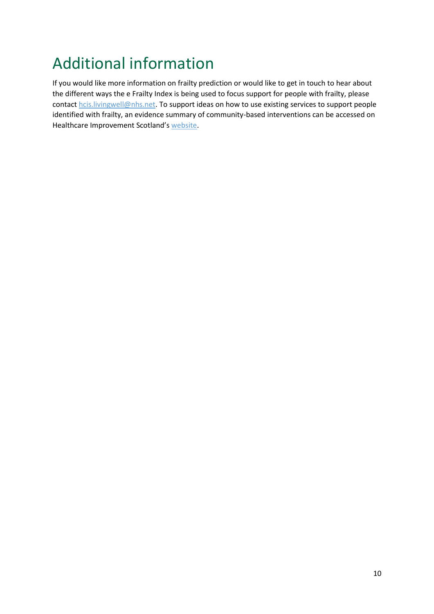# <span id="page-11-0"></span>Additional information

If you would like more information on frailty prediction or would like to get in touch to hear about the different ways the e Frailty Index is being used to focus support for people with frailty, please contact [hcis.livingwell@nhs.net.](mailto:hcis.livingwell@nhs.net) To support ideas on how to use existing services to support people identified with frailty, an evidence summary of community-based interventions can be accessed on Healthcare Improvement Scotland's [website.](https://ihub.scot/media/1892/lwic-frailty_evidence-for-what-works_jul18.pdf)